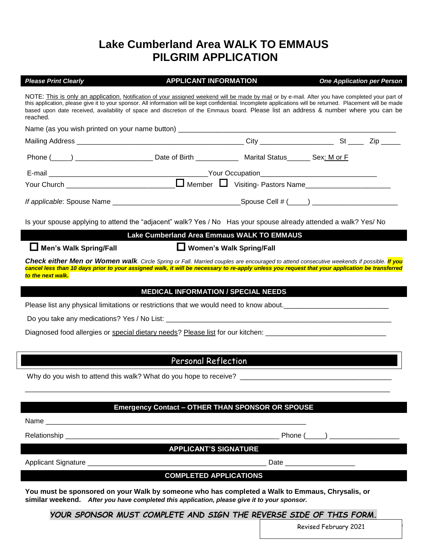## **Lake Cumberland Area WALK TO EMMAUS PILGRIM APPLICATION**

| <b>Please Print Clearly</b>                                                                                                                                                                                                                                                                                                                                                                                                                                            | <b>APPLICANT INFORMATION</b>                            |  | <b>One Application per Person</b> |
|------------------------------------------------------------------------------------------------------------------------------------------------------------------------------------------------------------------------------------------------------------------------------------------------------------------------------------------------------------------------------------------------------------------------------------------------------------------------|---------------------------------------------------------|--|-----------------------------------|
| NOTE: This is only an application. Notification of your assigned weekend will be made by mail or by e-mail. After you have completed your part of<br>this application, please give it to your sponsor. All information will be kept confidential. Incomplete applications will be returned. Placement will be made<br>based upon date received, availability of space and discretion of the Emmaus board. Please list an address & number where you can be<br>reached. |                                                         |  |                                   |
| Name (as you wish printed on your name button) _________________________________                                                                                                                                                                                                                                                                                                                                                                                       |                                                         |  |                                   |
|                                                                                                                                                                                                                                                                                                                                                                                                                                                                        |                                                         |  |                                   |
|                                                                                                                                                                                                                                                                                                                                                                                                                                                                        |                                                         |  |                                   |
|                                                                                                                                                                                                                                                                                                                                                                                                                                                                        |                                                         |  |                                   |
|                                                                                                                                                                                                                                                                                                                                                                                                                                                                        |                                                         |  |                                   |
|                                                                                                                                                                                                                                                                                                                                                                                                                                                                        |                                                         |  |                                   |
| Is your spouse applying to attend the "adjacent" walk? Yes / No Has your spouse already attended a walk? Yes/ No                                                                                                                                                                                                                                                                                                                                                       |                                                         |  |                                   |
|                                                                                                                                                                                                                                                                                                                                                                                                                                                                        | Lake Cumberland Area Emmaus WALK TO EMMAUS              |  |                                   |
| Men's Walk Spring/Fall                                                                                                                                                                                                                                                                                                                                                                                                                                                 | U Women's Walk Spring/Fall                              |  |                                   |
| Check either Men or Women walk. Circle Spring or Fall. Married couples are encouraged to attend consecutive weekends if possible. If you<br>cancel less than 10 days prior to your assigned walk, it will be necessary to re-apply unless you request that your application be transferred<br>to the next walk.                                                                                                                                                        |                                                         |  |                                   |
|                                                                                                                                                                                                                                                                                                                                                                                                                                                                        | <b>MEDICAL INFORMATION / SPECIAL NEEDS</b>              |  |                                   |
| Please list any physical limitations or restrictions that we would need to know about.                                                                                                                                                                                                                                                                                                                                                                                 |                                                         |  |                                   |
|                                                                                                                                                                                                                                                                                                                                                                                                                                                                        |                                                         |  |                                   |
| Diagnosed food allergies or special dietary needs? Please list for our kitchen: ______________________________                                                                                                                                                                                                                                                                                                                                                         |                                                         |  |                                   |
|                                                                                                                                                                                                                                                                                                                                                                                                                                                                        |                                                         |  |                                   |
|                                                                                                                                                                                                                                                                                                                                                                                                                                                                        | Personal Reflection                                     |  |                                   |
|                                                                                                                                                                                                                                                                                                                                                                                                                                                                        |                                                         |  |                                   |
|                                                                                                                                                                                                                                                                                                                                                                                                                                                                        |                                                         |  |                                   |
|                                                                                                                                                                                                                                                                                                                                                                                                                                                                        | <b>Emergency Contact - OTHER THAN SPONSOR OR SPOUSE</b> |  |                                   |
| Name                                                                                                                                                                                                                                                                                                                                                                                                                                                                   |                                                         |  |                                   |

Relationship \_\_\_\_\_\_\_\_\_\_\_\_\_\_\_\_\_\_\_\_\_\_\_\_\_\_\_\_\_\_\_\_\_\_\_\_\_\_\_\_\_\_\_\_\_\_\_\_\_\_\_\_\_\_\_ Phone (\_\_\_\_\_) \_\_\_\_\_\_\_\_\_\_\_\_\_\_\_\_\_\_

**APPLICANT'S SIGNATURE**

Applicant Signature \_\_\_\_\_\_\_\_\_\_\_\_\_\_\_\_\_\_\_\_\_\_\_\_\_\_\_\_\_\_\_\_\_\_\_\_\_\_\_\_\_\_\_\_\_\_ Date \_\_\_\_\_\_\_\_\_\_\_\_\_\_\_\_\_\_

## **COMPLETED APPLICATIONS**

**You must be sponsored on your Walk by someone who has completed a Walk to Emmaus, Chrysalis, or similar weekend.** *After you have completed this application, please give it to your sponsor.*

*YOUR SPONSOR MUST COMPLETE AND SIGN THE REVERSE SIDE OF THIS FORM.*

Revised February 2021 | 11